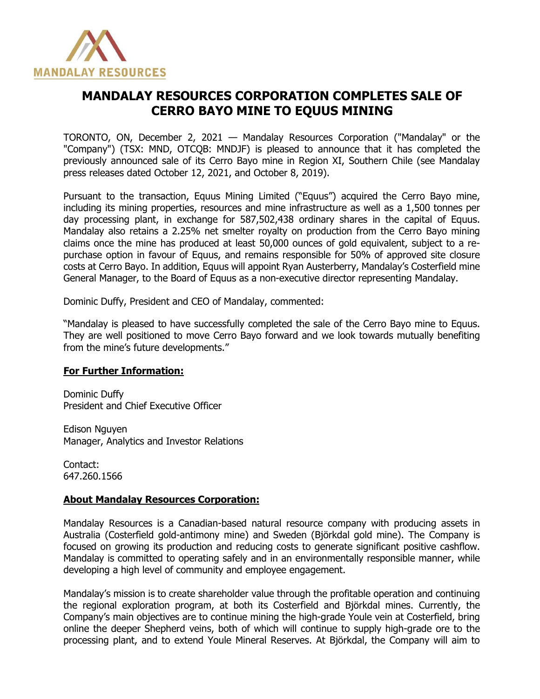

## **MANDALAY RESOURCES CORPORATION COMPLETES SALE OF CERRO BAYO MINE TO EQUUS MINING**

TORONTO, ON, December 2, 2021 — Mandalay Resources Corporation ("Mandalay" or the "Company") (TSX: MND, OTCQB: MNDJF) is pleased to announce that it has completed the previously announced sale of its Cerro Bayo mine in Region XI, Southern Chile (see Mandalay press releases dated October 12, 2021, and October 8, 2019).

Pursuant to the transaction, Equus Mining Limited ("Equus") acquired the Cerro Bayo mine, including its mining properties, resources and mine infrastructure as well as a 1,500 tonnes per day processing plant, in exchange for 587,502,438 ordinary shares in the capital of Equus. Mandalay also retains a 2.25% net smelter royalty on production from the Cerro Bayo mining claims once the mine has produced at least 50,000 ounces of gold equivalent, subject to a repurchase option in favour of Equus, and remains responsible for 50% of approved site closure costs at Cerro Bayo. In addition, Equus will appoint Ryan Austerberry, Mandalay's Costerfield mine General Manager, to the Board of Equus as a non-executive director representing Mandalay.

Dominic Duffy, President and CEO of Mandalay, commented:

"Mandalay is pleased to have successfully completed the sale of the Cerro Bayo mine to Equus. They are well positioned to move Cerro Bayo forward and we look towards mutually benefiting from the mine's future developments."

## **For Further Information:**

Dominic Duffy President and Chief Executive Officer

Edison Nguyen Manager, Analytics and Investor Relations

Contact: 647.260.1566

## **About Mandalay Resources Corporation:**

Mandalay Resources is a Canadian-based natural resource company with producing assets in Australia (Costerfield gold-antimony mine) and Sweden (Björkdal gold mine). The Company is focused on growing its production and reducing costs to generate significant positive cashflow. Mandalay is committed to operating safely and in an environmentally responsible manner, while developing a high level of community and employee engagement.

Mandalay's mission is to create shareholder value through the profitable operation and continuing the regional exploration program, at both its Costerfield and Björkdal mines. Currently, the Company's main objectives are to continue mining the high-grade Youle vein at Costerfield, bring online the deeper Shepherd veins, both of which will continue to supply high-grade ore to the processing plant, and to extend Youle Mineral Reserves. At Björkdal, the Company will aim to